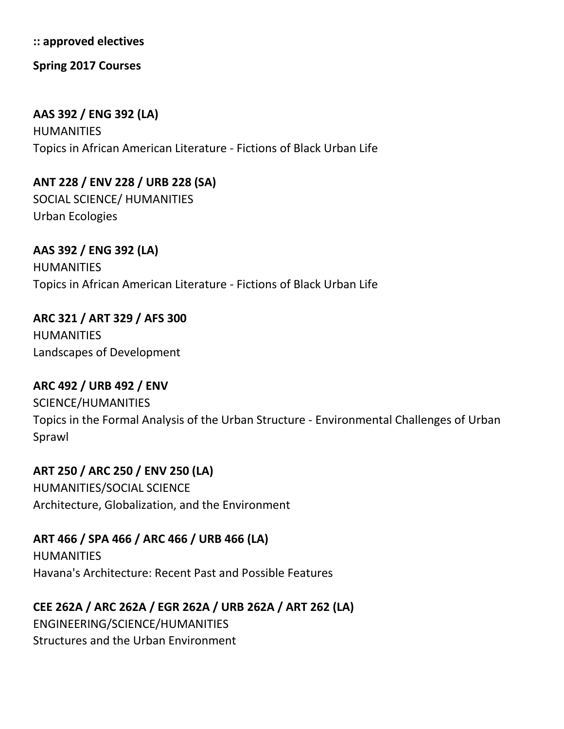**:: approved electives**

**Spring 2017 Courses**

## **AAS 392 / ENG 392 (LA)**

HUMANITIES Topics in African American Literature - Fictions of Black Urban Life

**ANT 228 / ENV 228 / URB 228 (SA)**  SOCIAL SCIENCE/ HUMANITIES Urban Ecologies

**AAS 392 / ENG 392 (LA)** HUMANITIES Topics in African American Literature - Fictions of Black Urban Life

**ARC 321 / ART 329 / AFS 300 HUMANITIES** Landscapes of Development

**ARC 492 / URB 492 / ENV**  SCIENCE/HUMANITIES Topics in the Formal Analysis of the Urban Structure - Environmental Challenges of Urban Sprawl

**ART 250 / ARC 250 / ENV 250 (LA)** HUMANITIES/SOCIAL SCIENCE Architecture, Globalization, and the Environment

**ART 466 / SPA 466 / ARC 466 / URB 466 (LA) HUMANITIES** Havana's Architecture: Recent Past and Possible Features

**CEE 262A / ARC 262A / EGR 262A / URB 262A / ART 262 (LA)** ENGINEERING/SCIENCE/HUMANITIES Structures and the Urban Environment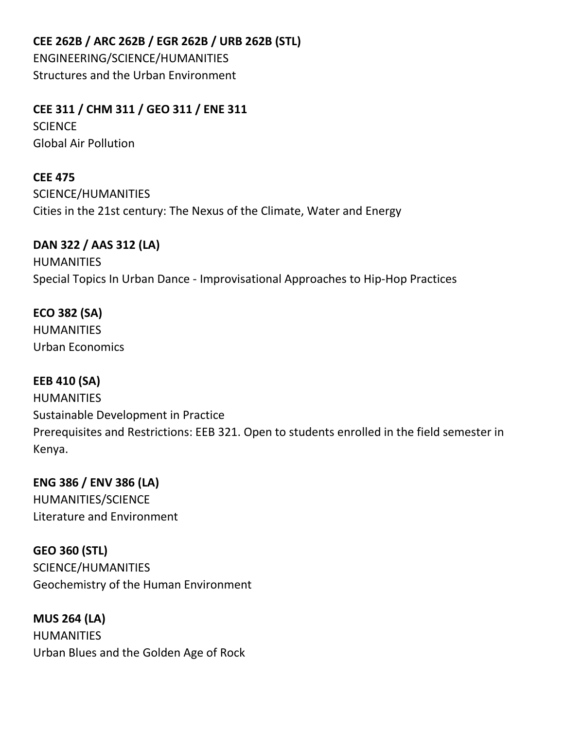**CEE 262B / ARC 262B / EGR 262B / URB 262B (STL)** 

ENGINEERING/SCIENCE/HUMANITIES Structures and the Urban Environment

**CEE 311 / CHM 311 / GEO 311 / ENE 311** 

**SCIENCE** Global Air Pollution

**CEE 475**  SCIENCE/HUMANITIES Cities in the 21st century: The Nexus of the Climate, Water and Energy

## **DAN 322 / AAS 312 (LA)**

HUMANITIES Special Topics In Urban Dance - Improvisational Approaches to Hip-Hop Practices

## **ECO 382 (SA)**

**HUMANITIES** Urban Economics

**EEB 410 (SA) HUMANITIES** Sustainable Development in Practice Prerequisites and Restrictions: EEB 321. Open to students enrolled in the field semester in Kenya.

**ENG 386 / ENV 386 (LA)**  HUMANITIES/SCIENCE Literature and Environment

**GEO 360 (STL)**  SCIENCE/HUMANITIES Geochemistry of the Human Environment

**MUS 264 (LA) HUMANITIES** Urban Blues and the Golden Age of Rock